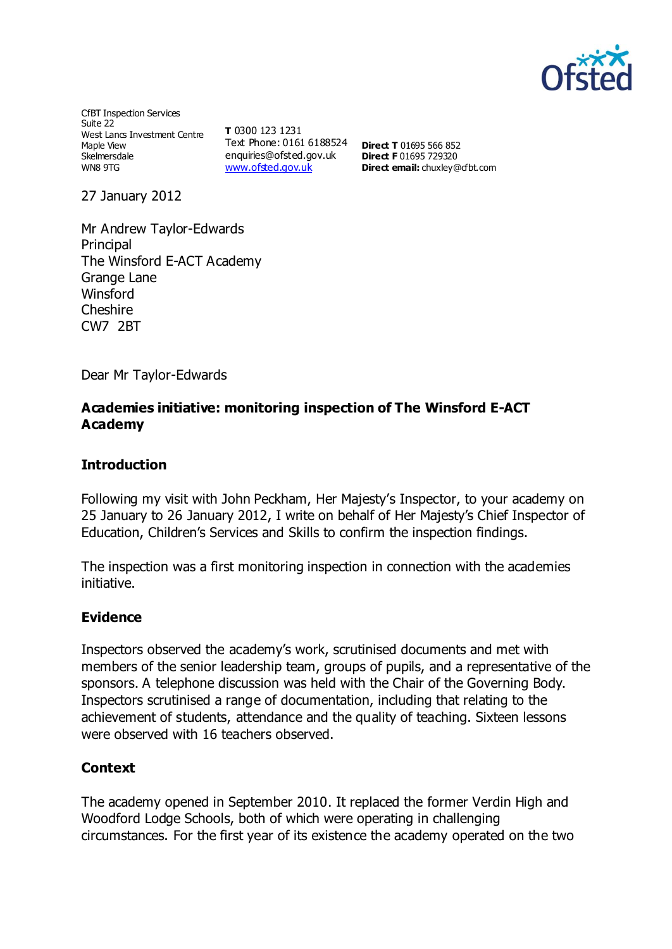

CfBT Inspection Services Suite 22 West Lancs Investment Centre Maple View Skelmersdale WN8 9TG

**T** 0300 123 1231 Text Phone: 0161 6188524 **Direct T** 01695 566 852 enquiries@ofsted.gov.uk [www.ofsted.gov.uk](http://www.ofsted.gov.uk/)

**Direct F** 01695 729320 **Direct email:** [chuxley@cfbt.com](file:///C:/Users/ajohnson/AppData/Local/Microsoft/Users/ajohnson/AppData/Local/Microsoft/Windows/Temporary%20Internet%20Files/Low/Content.IE5/UY0B0J7S/chuxley@cfbt.com)

27 January 2012

Mr Andrew Taylor-Edwards Principal The Winsford E-ACT Academy Grange Lane Winsford **Cheshire** CW7 2BT

Dear Mr Taylor-Edwards

## **Academies initiative: monitoring inspection of The Winsford E-ACT Academy**

### **Introduction**

Following my visit with John Peckham, Her Majesty's Inspector, to your academy on 25 January to 26 January 2012, I write on behalf of Her Majesty's Chief Inspector of Education, Children's Services and Skills to confirm the inspection findings.

The inspection was a first monitoring inspection in connection with the academies initiative.

#### **Evidence**

Inspectors observed the academy's work, scrutinised documents and met with members of the senior leadership team, groups of pupils, and a representative of the sponsors. A telephone discussion was held with the Chair of the Governing Body. Inspectors scrutinised a range of documentation, including that relating to the achievement of students, attendance and the quality of teaching. Sixteen lessons were observed with 16 teachers observed.

### **Context**

The academy opened in September 2010. It replaced the former Verdin High and Woodford Lodge Schools, both of which were operating in challenging circumstances. For the first year of its existence the academy operated on the two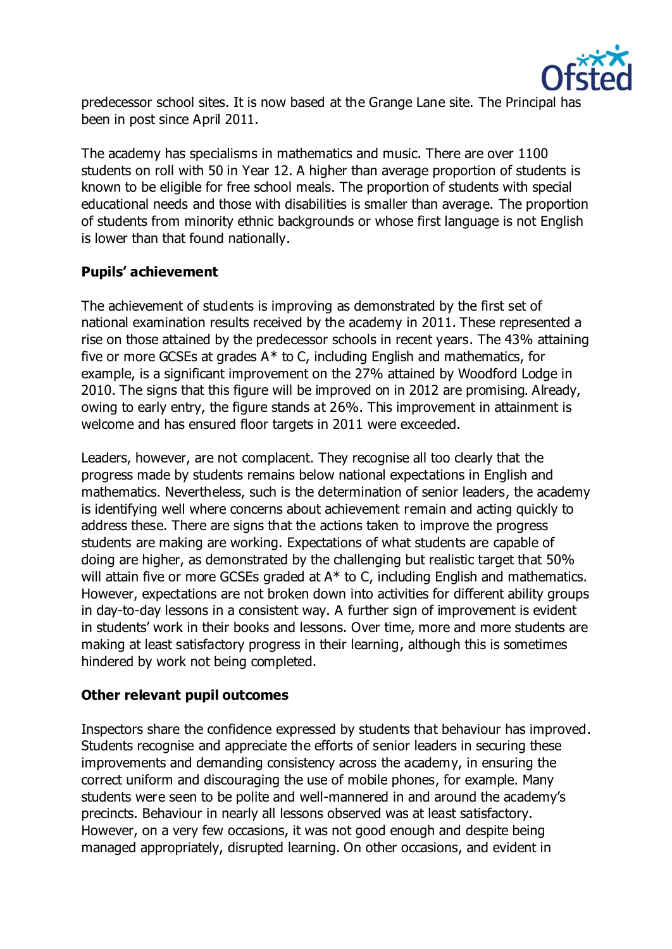

predecessor school sites. It is now based at the Grange Lane site. The Principal has been in post since April 2011.

The academy has specialisms in mathematics and music. There are over 1100 students on roll with 50 in Year 12. A higher than average proportion of students is known to be eligible for free school meals. The proportion of students with special educational needs and those with disabilities is smaller than average. The proportion of students from minority ethnic backgrounds or whose first language is not English is lower than that found nationally.

## **Pupils' achievement**

The achievement of students is improving as demonstrated by the first set of national examination results received by the academy in 2011. These represented a rise on those attained by the predecessor schools in recent years. The 43% attaining five or more GCSEs at grades A\* to C, including English and mathematics, for example, is a significant improvement on the 27% attained by Woodford Lodge in 2010. The signs that this figure will be improved on in 2012 are promising. Already, owing to early entry, the figure stands at 26%. This improvement in attainment is welcome and has ensured floor targets in 2011 were exceeded.

Leaders, however, are not complacent. They recognise all too clearly that the progress made by students remains below national expectations in English and mathematics. Nevertheless, such is the determination of senior leaders, the academy is identifying well where concerns about achievement remain and acting quickly to address these. There are signs that the actions taken to improve the progress students are making are working. Expectations of what students are capable of doing are higher, as demonstrated by the challenging but realistic target that 50% will attain five or more GCSEs graded at A\* to C, including English and mathematics. However, expectations are not broken down into activities for different ability groups in day-to-day lessons in a consistent way. A further sign of improvement is evident in students' work in their books and lessons. Over time, more and more students are making at least satisfactory progress in their learning, although this is sometimes hindered by work not being completed.

### **Other relevant pupil outcomes**

Inspectors share the confidence expressed by students that behaviour has improved. Students recognise and appreciate the efforts of senior leaders in securing these improvements and demanding consistency across the academy, in ensuring the correct uniform and discouraging the use of mobile phones, for example. Many students were seen to be polite and well-mannered in and around the academy's precincts. Behaviour in nearly all lessons observed was at least satisfactory. However, on a very few occasions, it was not good enough and despite being managed appropriately, disrupted learning. On other occasions, and evident in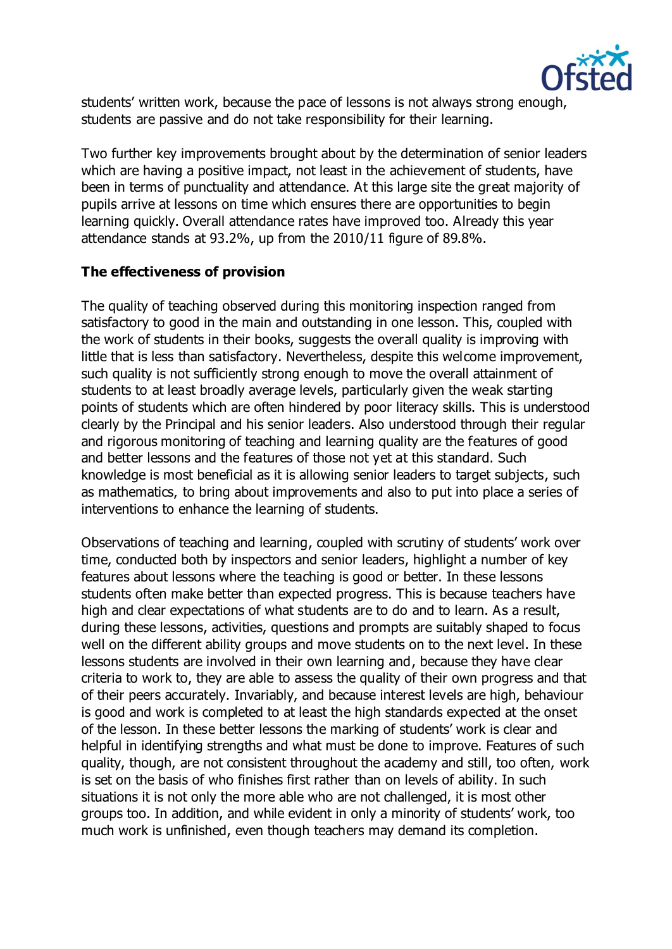

students' written work, because the pace of lessons is not always strong enough, students are passive and do not take responsibility for their learning.

Two further key improvements brought about by the determination of senior leaders which are having a positive impact, not least in the achievement of students, have been in terms of punctuality and attendance. At this large site the great majority of pupils arrive at lessons on time which ensures there are opportunities to begin learning quickly. Overall attendance rates have improved too. Already this year attendance stands at 93.2%, up from the 2010/11 figure of 89.8%.

## **The effectiveness of provision**

The quality of teaching observed during this monitoring inspection ranged from satisfactory to good in the main and outstanding in one lesson. This, coupled with the work of students in their books, suggests the overall quality is improving with little that is less than satisfactory. Nevertheless, despite this welcome improvement, such quality is not sufficiently strong enough to move the overall attainment of students to at least broadly average levels, particularly given the weak starting points of students which are often hindered by poor literacy skills. This is understood clearly by the Principal and his senior leaders. Also understood through their regular and rigorous monitoring of teaching and learning quality are the features of good and better lessons and the features of those not yet at this standard. Such knowledge is most beneficial as it is allowing senior leaders to target subjects, such as mathematics, to bring about improvements and also to put into place a series of interventions to enhance the learning of students.

Observations of teaching and learning, coupled with scrutiny of students' work over time, conducted both by inspectors and senior leaders, highlight a number of key features about lessons where the teaching is good or better. In these lessons students often make better than expected progress. This is because teachers have high and clear expectations of what students are to do and to learn. As a result, during these lessons, activities, questions and prompts are suitably shaped to focus well on the different ability groups and move students on to the next level. In these lessons students are involved in their own learning and, because they have clear criteria to work to, they are able to assess the quality of their own progress and that of their peers accurately. Invariably, and because interest levels are high, behaviour is good and work is completed to at least the high standards expected at the onset of the lesson. In these better lessons the marking of students' work is clear and helpful in identifying strengths and what must be done to improve. Features of such quality, though, are not consistent throughout the academy and still, too often, work is set on the basis of who finishes first rather than on levels of ability. In such situations it is not only the more able who are not challenged, it is most other groups too. In addition, and while evident in only a minority of students' work, too much work is unfinished, even though teachers may demand its completion.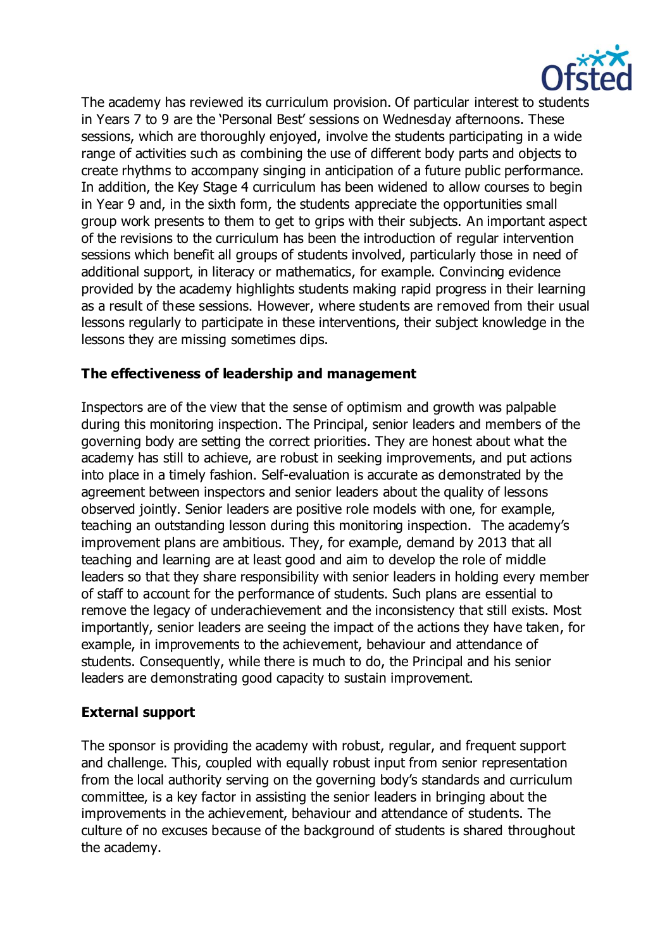

The academy has reviewed its curriculum provision. Of particular interest to students in Years 7 to 9 are the 'Personal Best' sessions on Wednesday afternoons. These sessions, which are thoroughly enjoyed, involve the students participating in a wide range of activities such as combining the use of different body parts and objects to create rhythms to accompany singing in anticipation of a future public performance. In addition, the Key Stage 4 curriculum has been widened to allow courses to begin in Year 9 and, in the sixth form, the students appreciate the opportunities small group work presents to them to get to grips with their subjects. An important aspect of the revisions to the curriculum has been the introduction of regular intervention sessions which benefit all groups of students involved, particularly those in need of additional support, in literacy or mathematics, for example. Convincing evidence provided by the academy highlights students making rapid progress in their learning as a result of these sessions. However, where students are removed from their usual lessons regularly to participate in these interventions, their subject knowledge in the lessons they are missing sometimes dips.

## **The effectiveness of leadership and management**

Inspectors are of the view that the sense of optimism and growth was palpable during this monitoring inspection. The Principal, senior leaders and members of the governing body are setting the correct priorities. They are honest about what the academy has still to achieve, are robust in seeking improvements, and put actions into place in a timely fashion. Self-evaluation is accurate as demonstrated by the agreement between inspectors and senior leaders about the quality of lessons observed jointly. Senior leaders are positive role models with one, for example, teaching an outstanding lesson during this monitoring inspection. The academy's improvement plans are ambitious. They, for example, demand by 2013 that all teaching and learning are at least good and aim to develop the role of middle leaders so that they share responsibility with senior leaders in holding every member of staff to account for the performance of students. Such plans are essential to remove the legacy of underachievement and the inconsistency that still exists. Most importantly, senior leaders are seeing the impact of the actions they have taken, for example, in improvements to the achievement, behaviour and attendance of students. Consequently, while there is much to do, the Principal and his senior leaders are demonstrating good capacity to sustain improvement.

# **External support**

The sponsor is providing the academy with robust, regular, and frequent support and challenge. This, coupled with equally robust input from senior representation from the local authority serving on the governing body's standards and curriculum committee, is a key factor in assisting the senior leaders in bringing about the improvements in the achievement, behaviour and attendance of students. The culture of no excuses because of the background of students is shared throughout the academy.